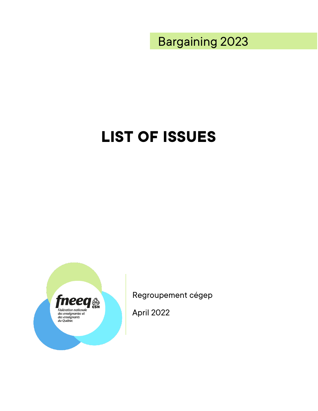Bargaining 2023

# **LIST OF ISSUES**



Regroupement cégep

April 2022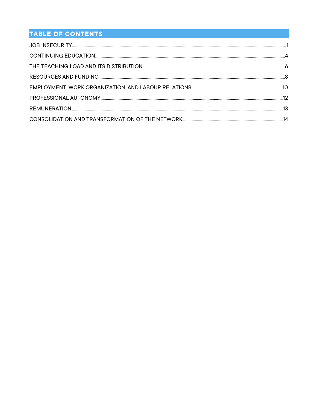# TABLE OF CONTENTS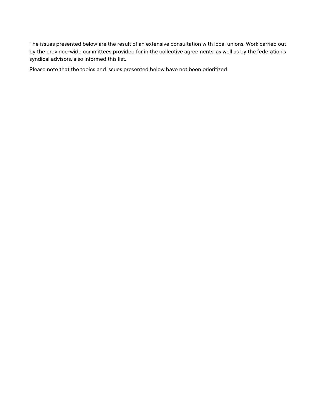The issues presented below are the result of an extensive consultation with local unions. Work carried out by the province-wide committees provided for in the collective agreements, as well as by the federation's syndical advisors, also informed this list.

Please note that the topics and issues presented below have not been prioritized.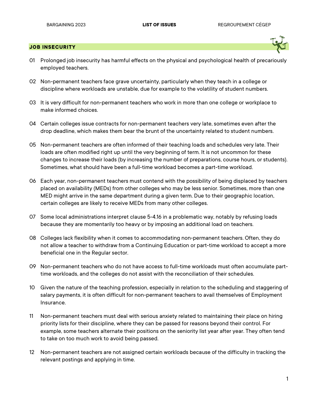#### <span id="page-3-0"></span>**JOB INSECURITY**

- 01 Prolonged job insecurity has harmful effects on the physical and psychological health of precariously employed teachers.
- 02 Non-permanent teachers face grave uncertainty, particularly when they teach in a college or discipline where workloads are unstable, due for example to the volatility of student numbers.
- 03 It is very difficult for non-permanent teachers who work in more than one college or workplace to make informed choices.
- 04 Certain colleges issue contracts for non-permanent teachers very late, sometimes even after the drop deadline, which makes them bear the brunt of the uncertainty related to student numbers.
- 05 Non-permanent teachers are often informed of their teaching loads and schedules very late. Their loads are often modified right up until the very beginning of term. It is not uncommon for these changes to increase their loads (by increasing the number of preparations, course hours, or students). Sometimes, what should have been a full-time workload becomes a part-time workload.
- 06 Each year, non-permanent teachers must contend with the possibility of being displaced by teachers placed on availability (MEDs) from other colleges who may be less senior. Sometimes, more than one MED might arrive in the same department during a given term. Due to their geographic location, certain colleges are likely to receive MEDs from many other colleges.
- 07 Some local administrations interpret clause 5-4.16 in a problematic way, notably by refusing loads because they are momentarily too heavy or by imposing an additional load on teachers.
- 08 Colleges lack flexibility when it comes to accommodating non-permanent teachers. Often, they do not allow a teacher to withdraw from a Continuing Education or part-time workload to accept a more beneficial one in the Regular sector.
- 09 Non-permanent teachers who do not have access to full-time workloads must often accumulate parttime workloads, and the colleges do not assist with the reconciliation of their schedules.
- 10 Given the nature of the teaching profession, especially in relation to the scheduling and staggering of salary payments, it is often difficult for non-permanent teachers to avail themselves of Employment Insurance.
- 11 Non-permanent teachers must deal with serious anxiety related to maintaining their place on hiring priority lists for their discipline, where they can be passed for reasons beyond their control. For example, some teachers alternate their positions on the seniority list year after year. They often tend to take on too much work to avoid being passed.
- 12 Non-permanent teachers are not assigned certain workloads because of the difficulty in tracking the relevant postings and applying in time.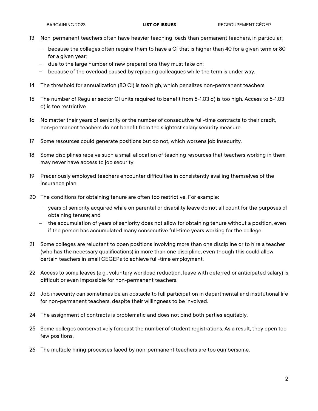- 13 Non-permanent teachers often have heavier teaching loads than permanent teachers, in particular:
	- − because the colleges often require them to have a CI that is higher than 40 for a given term or 80 for a given year;
	- − due to the large number of new preparations they must take on;
	- − because of the overload caused by replacing colleagues while the term is under way.
- 14 The threshold for annualization (80 CI) is too high, which penalizes non-permanent teachers.
- 15 The number of Regular sector CI units required to benefit from 5-1.03 d) is too high. Access to 5-1.03 d) is too restrictive.
- 16 No matter their years of seniority or the number of consecutive full-time contracts to their credit, non-permanent teachers do not benefit from the slightest salary security measure.
- 17 Some resources could generate positions but do not, which worsens job insecurity.
- 18 Some disciplines receive such a small allocation of teaching resources that teachers working in them may never have access to job security.
- 19 Precariously employed teachers encounter difficulties in consistently availing themselves of the insurance plan.
- 20 The conditions for obtaining tenure are often too restrictive. For example:
	- − years of seniority acquired while on parental or disability leave do not all count for the purposes of obtaining tenure; and
	- − the accumulation of years of seniority does not allow for obtaining tenure without a position, even if the person has accumulated many consecutive full-time years working for the college.
- 21 Some colleges are reluctant to open positions involving more than one discipline or to hire a teacher (who has the necessary qualifications) in more than one discipline, even though this could allow certain teachers in small CEGEPs to achieve full-time employment.
- 22 Access to some leaves (e.g., voluntary workload reduction, leave with deferred or anticipated salary) is difficult or even impossible for non-permanent teachers.
- 23 Job insecurity can sometimes be an obstacle to full participation in departmental and institutional life for non-permanent teachers, despite their willingness to be involved.
- 24 The assignment of contracts is problematic and does not bind both parties equitably.
- 25 Some colleges conservatively forecast the number of student registrations. As a result, they open too few positions.
- 26 The multiple hiring processes faced by non-permanent teachers are too cumbersome.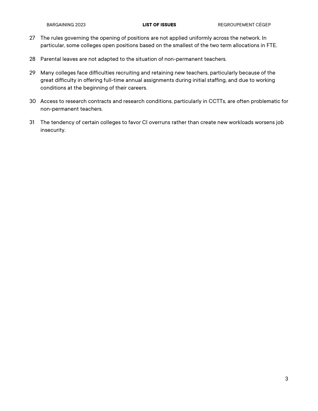- 27 The rules governing the opening of positions are not applied uniformly across the network. In particular, some colleges open positions based on the smallest of the two term allocations in FTE.
- 28 Parental leaves are not adapted to the situation of non-permanent teachers.
- 29 Many colleges face difficulties recruiting and retaining new teachers, particularly because of the great difficulty in offering full-time annual assignments during initial staffing, and due to working conditions at the beginning of their careers.
- 30 Access to research contracts and research conditions, particularly in CCTTs, are often problematic for non-permanent teachers.
- 31 The tendency of certain colleges to favor CI overruns rather than create new workloads worsens job insecurity.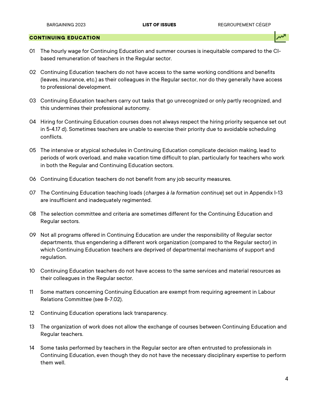#### **CONTINUING EDUCATION**

- <span id="page-6-0"></span>01 The hourly wage for Continuing Education and summer courses is inequitable compared to the CIbased remuneration of teachers in the Regular sector.
- 02 Continuing Education teachers do not have access to the same working conditions and benefits (leaves, insurance, etc.) as their colleagues in the Regular sector, nor do they generally have access to professional development.
- 03 Continuing Education teachers carry out tasks that go unrecognized or only partly recognized, and this undermines their professional autonomy.
- 04 Hiring for Continuing Education courses does not always respect the hiring priority sequence set out in 5-4.17 d). Sometimes teachers are unable to exercise their priority due to avoidable scheduling conflicts.
- 05 The intensive or atypical schedules in Continuing Education complicate decision making, lead to periods of work overload, and make vacation time difficult to plan, particularly for teachers who work in both the Regular and Continuing Education sectors.
- 06 Continuing Education teachers do not benefit from any job security measures.
- 07 The Continuing Education teaching loads (*charges à la formation continue*) set out in Appendix I-13 are insufficient and inadequately regimented.
- 08 The selection committee and criteria are sometimes different for the Continuing Education and Regular sectors.
- 09 Not all programs offered in Continuing Education are under the responsibility of Regular sector departments, thus engendering a different work organization (compared to the Regular sector) in which Continuing Education teachers are deprived of departmental mechanisms of support and regulation.
- 10 Continuing Education teachers do not have access to the same services and material resources as their colleagues in the Regular sector.
- 11 Some matters concerning Continuing Education are exempt from requiring agreement in Labour Relations Committee (see 8-7.02).
- 12 Continuing Education operations lack transparency.
- 13 The organization of work does not allow the exchange of courses between Continuing Education and Regular teachers.
- 14 Some tasks performed by teachers in the Regular sector are often entrusted to professionals in Continuing Education, even though they do not have the necessary disciplinary expertise to perform them well.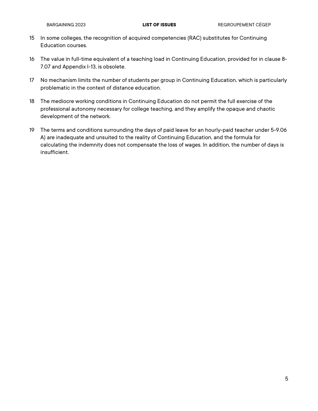- 15 In some colleges, the recognition of acquired competencies (RAC) substitutes for Continuing Education courses.
- 16 The value in full-time equivalent of a teaching load in Continuing Education, provided for in clause 8- 7.07 and Appendix I-13, is obsolete.
- 17 No mechanism limits the number of students per group in Continuing Education, which is particularly problematic in the context of distance education.
- 18 The mediocre working conditions in Continuing Education do not permit the full exercise of the professional autonomy necessary for college teaching, and they amplify the opaque and chaotic development of the network.
- 19 The terms and conditions surrounding the days of paid leave for an hourly-paid teacher under 5-9.06 A) are inadequate and unsuited to the reality of Continuing Education, and the formula for calculating the indemnity does not compensate the loss of wages. In addition, the number of days is insufficient.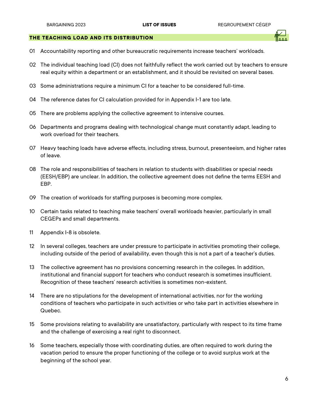#### **THE TEACHING LOAD AND ITS DISTRIBUTION**

- <span id="page-8-0"></span>01 Accountability reporting and other bureaucratic requirements increase teachers' workloads.
- 02 The individual teaching load (CI) does not faithfully reflect the work carried out by teachers to ensure real equity within a department or an establishment, and it should be revisited on several bases.
- 03 Some administrations require a minimum CI for a teacher to be considered full-time.
- 04 The reference dates for CI calculation provided for in Appendix I-1 are too late.
- 05 There are problems applying the collective agreement to intensive courses.
- 06 Departments and programs dealing with technological change must constantly adapt, leading to work overload for their teachers.
- 07 Heavy teaching loads have adverse effects, including stress, burnout, presenteeism, and higher rates of leave.
- 08 The role and responsibilities of teachers in relation to students with disabilities or special needs (EESH/EBP) are unclear. In addition, the collective agreement does not define the terms EESH and EBP.
- 09 The creation of workloads for staffing purposes is becoming more complex.
- 10 Certain tasks related to teaching make teachers' overall workloads heavier, particularly in small CEGEPs and small departments.
- 11 Appendix I-8 is obsolete.
- 12 In several colleges, teachers are under pressure to participate in activities promoting their college, including outside of the period of availability, even though this is not a part of a teacher's duties.
- 13 The collective agreement has no provisions concerning research in the colleges. In addition, institutional and financial support for teachers who conduct research is sometimes insufficient. Recognition of these teachers' research activities is sometimes non-existent.
- 14 There are no stipulations for the development of international activities, nor for the working conditions of teachers who participate in such activities or who take part in activities elsewhere in Quebec.
- 15 Some provisions relating to availability are unsatisfactory, particularly with respect to its time frame and the challenge of exercising a real right to disconnect.
- 16 Some teachers, especially those with coordinating duties, are often required to work during the vacation period to ensure the proper functioning of the college or to avoid surplus work at the beginning of the school year.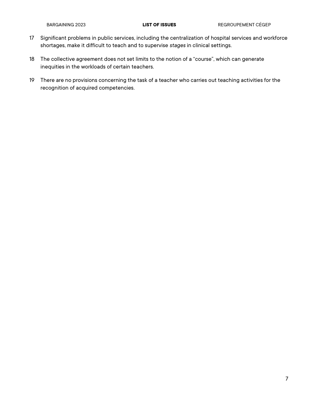- 17 Significant problems in public services, including the centralization of hospital services and workforce shortages, make it difficult to teach and to supervise *stages* in clinical settings.
- 18 The collective agreement does not set limits to the notion of a "course", which can generate inequities in the workloads of certain teachers.
- 19 There are no provisions concerning the task of a teacher who carries out teaching activities for the recognition of acquired competencies.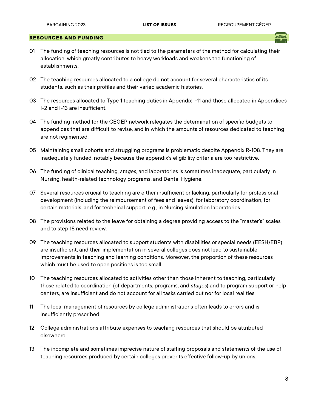#### <span id="page-10-0"></span>**RESOURCES AND FUNDING**

- 01 The funding of teaching resources is not tied to the parameters of the method for calculating their allocation, which greatly contributes to heavy workloads and weakens the functioning of establishments.
- 02 The teaching resources allocated to a college do not account for several characteristics of its students, such as their profiles and their varied academic histories.
- 03 The resources allocated to Type 1 teaching duties in Appendix I-11 and those allocated in Appendices I-2 and I-13 are insufficient.
- 04 The funding method for the CEGEP network relegates the determination of specific budgets to appendices that are difficult to revise, and in which the amounts of resources dedicated to teaching are not regimented.
- 05 Maintaining small cohorts and struggling programs is problematic despite Appendix R-108. They are inadequately funded, notably because the appendix's eligibility criteria are too restrictive.
- 06 The funding of clinical teaching, *stages*, and laboratories is sometimes inadequate, particularly in Nursing, health-related technology programs, and Dental Hygiene.
- 07 Several resources crucial to teaching are either insufficient or lacking, particularly for professional development (including the reimbursement of fees and leaves), for laboratory coordination, for certain materials, and for technical support, e.g., in Nursing simulation laboratories.
- 08 The provisions related to the leave for obtaining a degree providing access to the "master's" scales and to step 18 need review.
- 09 The teaching resources allocated to support students with disabilities or special needs (EESH/EBP) are insufficient, and their implementation in several colleges does not lead to sustainable improvements in teaching and learning conditions. Moreover, the proportion of these resources which must be used to open positions is too small.
- 10 The teaching resources allocated to activities other than those inherent to teaching, particularly those related to coordination (of departments, programs, and *stages*) and to program support or help centers, are insufficient and do not account for all tasks carried out nor for local realities.
- 11 The local management of resources by college administrations often leads to errors and is insufficiently prescribed.
- 12 College administrations attribute expenses to teaching resources that should be attributed elsewhere.
- 13 The incomplete and sometimes imprecise nature of staffing proposals and statements of the use of teaching resources produced by certain colleges prevents effective follow-up by unions.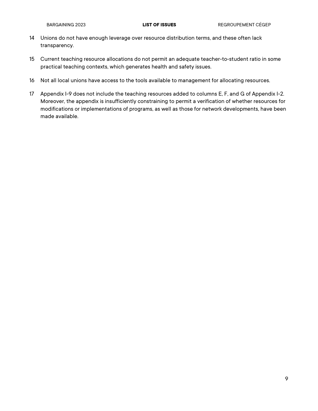- 14 Unions do not have enough leverage over resource distribution terms, and these often lack transparency.
- 15 Current teaching resource allocations do not permit an adequate teacher-to-student ratio in some practical teaching contexts, which generates health and safety issues.
- 16 Not all local unions have access to the tools available to management for allocating resources.
- 17 Appendix I-9 does not include the teaching resources added to columns E, F, and G of Appendix I-2. Moreover, the appendix is insufficiently constraining to permit a verification of whether resources for modifications or implementations of programs, as well as those for network developments, have been made available.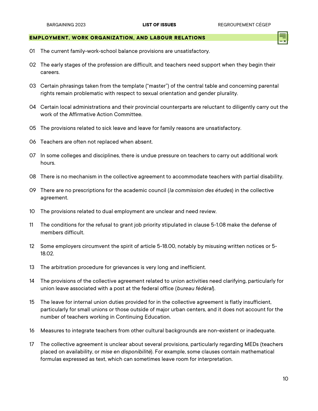#### <span id="page-12-0"></span>**EMPLOYMENT, WORK ORGANIZATION, AND LABOUR RELATIONS**

- 01 The current family-work-school balance provisions are unsatisfactory.
- 02 The early stages of the profession are difficult, and teachers need support when they begin their careers.
- 03 Certain phrasings taken from the template ("master") of the central table and concerning parental rights remain problematic with respect to sexual orientation and gender plurality.
- 04 Certain local administrations and their provincial counterparts are reluctant to diligently carry out the work of the Affirmative Action Committee.
- 05 The provisions related to sick leave and leave for family reasons are unsatisfactory.
- 06 Teachers are often not replaced when absent.
- 07 In some colleges and disciplines, there is undue pressure on teachers to carry out additional work hours.
- 08 There is no mechanism in the collective agreement to accommodate teachers with partial disability.
- 09 There are no prescriptions for the academic council (*la commission des études*) in the collective agreement.
- 10 The provisions related to dual employment are unclear and need review.
- 11 The conditions for the refusal to grant job priority stipulated in clause 5-1.08 make the defense of members difficult.
- 12 Some employers circumvent the spirit of article 5-18.00, notably by misusing written notices or 5- 18.02.
- 13 The arbitration procedure for grievances is very long and inefficient.
- 14 The provisions of the collective agreement related to union activities need clarifying, particularly for union leave associated with a post at the federal office (*bureau fédéral*).
- 15 The leave for internal union duties provided for in the collective agreement is flatly insufficient, particularly for small unions or those outside of major urban centers, and it does not account for the number of teachers working in Continuing Education.
- 16 Measures to integrate teachers from other cultural backgrounds are non-existent or inadequate.
- 17 The collective agreement is unclear about several provisions, particularly regarding MEDs (teachers placed on availability, or *mise en disponibilité*). For example, some clauses contain mathematical formulas expressed as text, which can sometimes leave room for interpretation.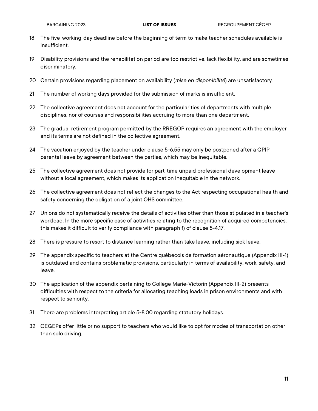- 18 The five-working-day deadline before the beginning of term to make teacher schedules available is insufficient.
- 19 Disability provisions and the rehabilitation period are too restrictive, lack flexibility, and are sometimes discriminatory.
- 20 Certain provisions regarding placement on availability (*mise en disponibilité*) are unsatisfactory.
- 21 The number of working days provided for the submission of marks is insufficient.
- 22 The collective agreement does not account for the particularities of departments with multiple disciplines, nor of courses and responsibilities accruing to more than one department.
- 23 The gradual retirement program permitted by the RREGOP requires an agreement with the employer and its terms are not defined in the collective agreement.
- 24 The vacation enjoyed by the teacher under clause 5-6.55 may only be postponed after a QPIP parental leave by agreement between the parties, which may be inequitable.
- 25 The collective agreement does not provide for part-time unpaid professional development leave without a local agreement, which makes its application inequitable in the network.
- 26 The collective agreement does not reflect the changes to the Act respecting occupational health and safety concerning the obligation of a joint OHS committee.
- 27 Unions do not systematically receive the details of activities other than those stipulated in a teacher's workload. In the more specific case of activities relating to the recognition of acquired competencies, this makes it difficult to verify compliance with paragraph f) of clause 5-4.17.
- 28 There is pressure to resort to distance learning rather than take leave, including sick leave.
- 29 The appendix specific to teachers at the Centre québécois de formation aéronautique (Appendix III-1) is outdated and contains problematic provisions, particularly in terms of availability, work, safety, and leave.
- 30 The application of the appendix pertaining to Collège Marie-Victorin (Appendix III-2) presents difficulties with respect to the criteria for allocating teaching loads in prison environments and with respect to seniority.
- 31 There are problems interpreting article 5-8.00 regarding statutory holidays.
- 32 CEGEPs offer little or no support to teachers who would like to opt for modes of transportation other than solo driving.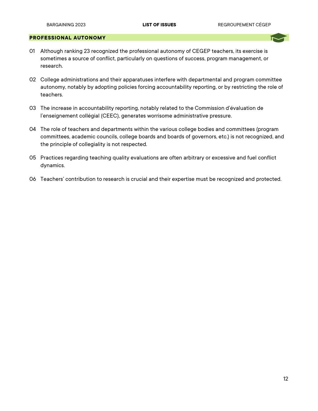#### **PROFESSIONAL AUTONOMY**

- <span id="page-14-0"></span>01 Although ranking 23 recognized the professional autonomy of CEGEP teachers, its exercise is sometimes a source of conflict, particularly on questions of success, program management, or research.
- 02 College administrations and their apparatuses interfere with departmental and program committee autonomy, notably by adopting policies forcing accountability reporting, or by restricting the role of teachers.
- 03 The increase in accountability reporting, notably related to the Commission d'évaluation de l'enseignement collégial (CEEC), generates worrisome administrative pressure.
- 04 The role of teachers and departments within the various college bodies and committees (program committees, academic councils, college boards and boards of governors, etc.) is not recognized, and the principle of collegiality is not respected.
- 05 Practices regarding teaching quality evaluations are often arbitrary or excessive and fuel conflict dynamics.
- 06 Teachers' contribution to research is crucial and their expertise must be recognized and protected.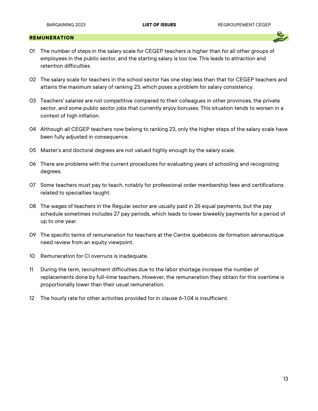#### <span id="page-15-0"></span>**REMUNERATION**

- 01 The number of steps in the salary scale for CEGEP teachers is higher than for all other groups of employees in the public sector, and the starting salary is too low. This leads to attraction and retention difficulties.
- 02 The salary scale for teachers in the school sector has one step less than that for CEGEP teachers and attains the maximum salary of ranking 23, which poses a problem for salary consistency.
- 03 Teachers' salaries are not competitive compared to their colleagues in other provinces, the private sector, and some public sector jobs that currently enjoy bonuses. This situation tends to worsen in a context of high inflation.
- 04 Although all CEGEP teachers now belong to ranking 23, only the higher steps of the salary scale have been fully adjusted in consequence.
- 05 Master's and doctoral degrees are not valued highly enough by the salary scale.
- 06 There are problems with the current procedures for evaluating years of schooling and recognizing degrees.
- 07 Some teachers must pay to teach, notably for professional order membership fees and certifications related to specialties taught.
- 08 The wages of teachers in the Regular sector are usually paid in 26 equal payments, but the pay schedule sometimes includes 27 pay periods, which leads to lower biweekly payments for a period of up to one year.
- 09 The specific terms of remuneration for teachers at the Centre québécois de formation aéronautique need review from an equity viewpoint.
- 10 Remuneration for CI overruns is inadequate.
- 11 During the term, recruitment difficulties due to the labor shortage increase the number of replacements done by full-time teachers. However, the remuneration they obtain for this overtime is proportionally lower than their usual remuneration.
- 12 The hourly rate for other activities provided for in clause 6-1.04 is insufficient.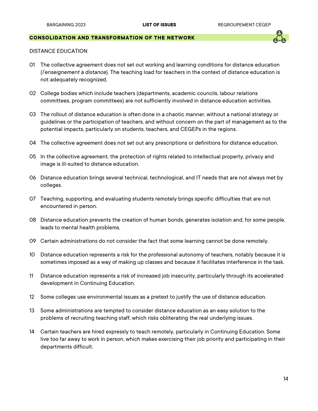# **CONSOLIDATION AND TRANSFORMATION OF THE NETWORK**

#### <span id="page-16-0"></span>DISTANCE EDUCATION

- 01 The collective agreement does not set out working and learning conditions for distance education (*l'enseignement à distance*). The teaching load for teachers in the context of distance education is not adequately recognized.
- 02 College bodies which include teachers (departments, academic councils, labour relations committees, program committees) are not sufficiently involved in distance education activities.
- 03 The rollout of distance education is often done in a chaotic manner, without a national strategy or guidelines or the participation of teachers, and without concern on the part of management as to the potential impacts, particularly on students, teachers, and CEGEPs in the regions.
- 04 The collective agreement does not set out any prescriptions or definitions for distance education.
- 05 In the collective agreement, the protection of rights related to intellectual property, privacy and image is ill-suited to distance education.
- 06 Distance education brings several technical, technological, and IT needs that are not always met by colleges.
- 07 Teaching, supporting, and evaluating students remotely brings specific difficulties that are not encountered in person.
- 08 Distance education prevents the creation of human bonds, generates isolation and, for some people, leads to mental health problems.
- 09 Certain administrations do not consider the fact that some learning cannot be done remotely.
- 10 Distance education represents a risk for the professional autonomy of teachers, notably because it is sometimes imposed as a way of making up classes and because it facilitates interference in the task.
- 11 Distance education represents a risk of increased job insecurity, particularly through its accelerated development in Continuing Education.
- 12 Some colleges use environmental issues as a pretext to justify the use of distance education.
- 13 Some administrations are tempted to consider distance education as an easy solution to the problems of recruiting teaching staff, which risks obliterating the real underlying issues.
- 14 Certain teachers are hired expressly to teach remotely, particularly in Continuing Education. Some live too far away to work in person, which makes exercising their job priority and participating in their departments difficult.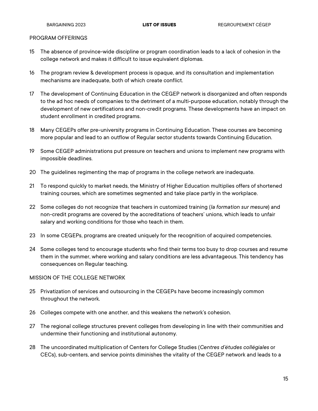## PROGRAM OFFERINGS

- 15 The absence of province-wide discipline or program coordination leads to a lack of cohesion in the college network and makes it difficult to issue equivalent diplomas.
- 16 The program review & development process is opaque, and its consultation and implementation mechanisms are inadequate, both of which create conflict.
- 17 The development of Continuing Education in the CEGEP network is disorganized and often responds to the ad hoc needs of companies to the detriment of a multi-purpose education, notably through the development of new certifications and non-credit programs. These developments have an impact on student enrollment in credited programs.
- 18 Many CEGEPs offer pre-university programs in Continuing Education. These courses are becoming more popular and lead to an outflow of Regular sector students towards Continuing Education.
- 19 Some CEGEP administrations put pressure on teachers and unions to implement new programs with impossible deadlines.
- 20 The guidelines regimenting the map of programs in the college network are inadequate.
- 21 To respond quickly to market needs, the Ministry of Higher Education multiplies offers of shortened training courses, which are sometimes segmented and take place partly in the workplace.
- 22 Some colleges do not recognize that teachers in customized training (*la formation sur mesure*) and non-credit programs are covered by the accreditations of teachers' unions, which leads to unfair salary and working conditions for those who teach in them.
- 23 In some CEGEPs, programs are created uniquely for the recognition of acquired competencies.
- 24 Some colleges tend to encourage students who find their terms too busy to drop courses and resume them in the summer, where working and salary conditions are less advantageous. This tendency has consequences on Regular teaching.

## MISSION OF THE COLLEGE NETWORK

- 25 Privatization of services and outsourcing in the CEGEPs have become increasingly common throughout the network.
- 26 Colleges compete with one another, and this weakens the network's cohesion.
- 27 The regional college structures prevent colleges from developing in line with their communities and undermine their functioning and institutional autonomy.
- 28 The uncoordinated multiplication of Centers for College Studies (*Centres d'études collégiales* or CECs), sub-centers, and service points diminishes the vitality of the CEGEP network and leads to a